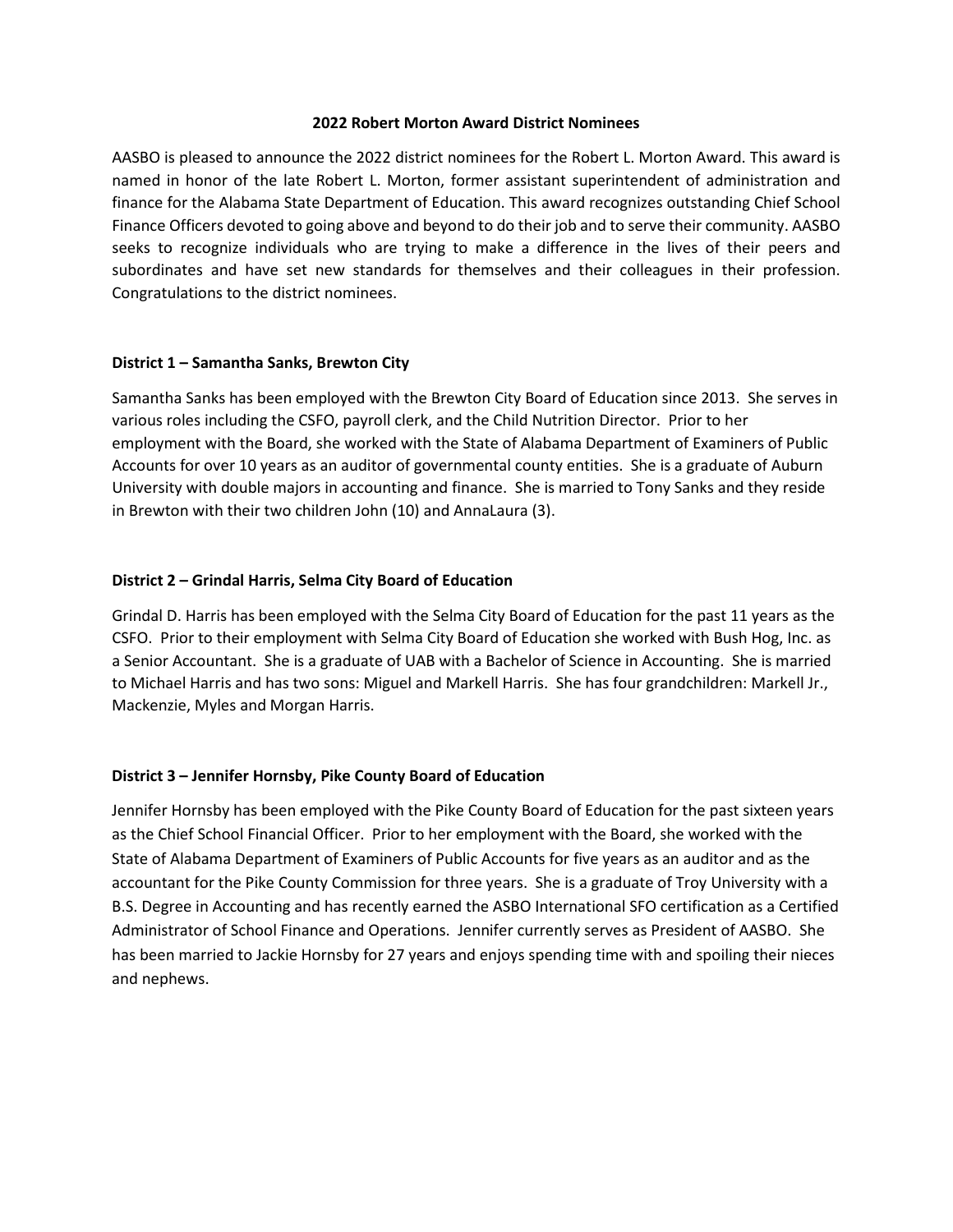#### **2022 Robert Morton Award District Nominees**

AASBO is pleased to announce the 2022 district nominees for the Robert L. Morton Award. This award is named in honor of the late Robert L. Morton, former assistant superintendent of administration and finance for the Alabama State Department of Education. This award recognizes outstanding Chief School Finance Officers devoted to going above and beyond to do their job and to serve their community. AASBO seeks to recognize individuals who are trying to make a difference in the lives of their peers and subordinates and have set new standards for themselves and their colleagues in their profession. Congratulations to the district nominees.

# **District 1 – Samantha Sanks, Brewton City**

Samantha Sanks has been employed with the Brewton City Board of Education since 2013. She serves in various roles including the CSFO, payroll clerk, and the Child Nutrition Director. Prior to her employment with the Board, she worked with the State of Alabama Department of Examiners of Public Accounts for over 10 years as an auditor of governmental county entities. She is a graduate of Auburn University with double majors in accounting and finance. She is married to Tony Sanks and they reside in Brewton with their two children John (10) and AnnaLaura (3).

# **District 2 – Grindal Harris, Selma City Board of Education**

Grindal D. Harris has been employed with the Selma City Board of Education for the past 11 years as the CSFO. Prior to their employment with Selma City Board of Education she worked with Bush Hog, Inc. as a Senior Accountant. She is a graduate of UAB with a Bachelor of Science in Accounting. She is married to Michael Harris and has two sons: Miguel and Markell Harris. She has four grandchildren: Markell Jr., Mackenzie, Myles and Morgan Harris.

## **District 3 – Jennifer Hornsby, Pike County Board of Education**

Jennifer Hornsby has been employed with the Pike County Board of Education for the past sixteen years as the Chief School Financial Officer. Prior to her employment with the Board, she worked with the State of Alabama Department of Examiners of Public Accounts for five years as an auditor and as the accountant for the Pike County Commission for three years. She is a graduate of Troy University with a B.S. Degree in Accounting and has recently earned the ASBO International SFO certification as a Certified Administrator of School Finance and Operations. Jennifer currently serves as President of AASBO. She has been married to Jackie Hornsby for 27 years and enjoys spending time with and spoiling their nieces and nephews.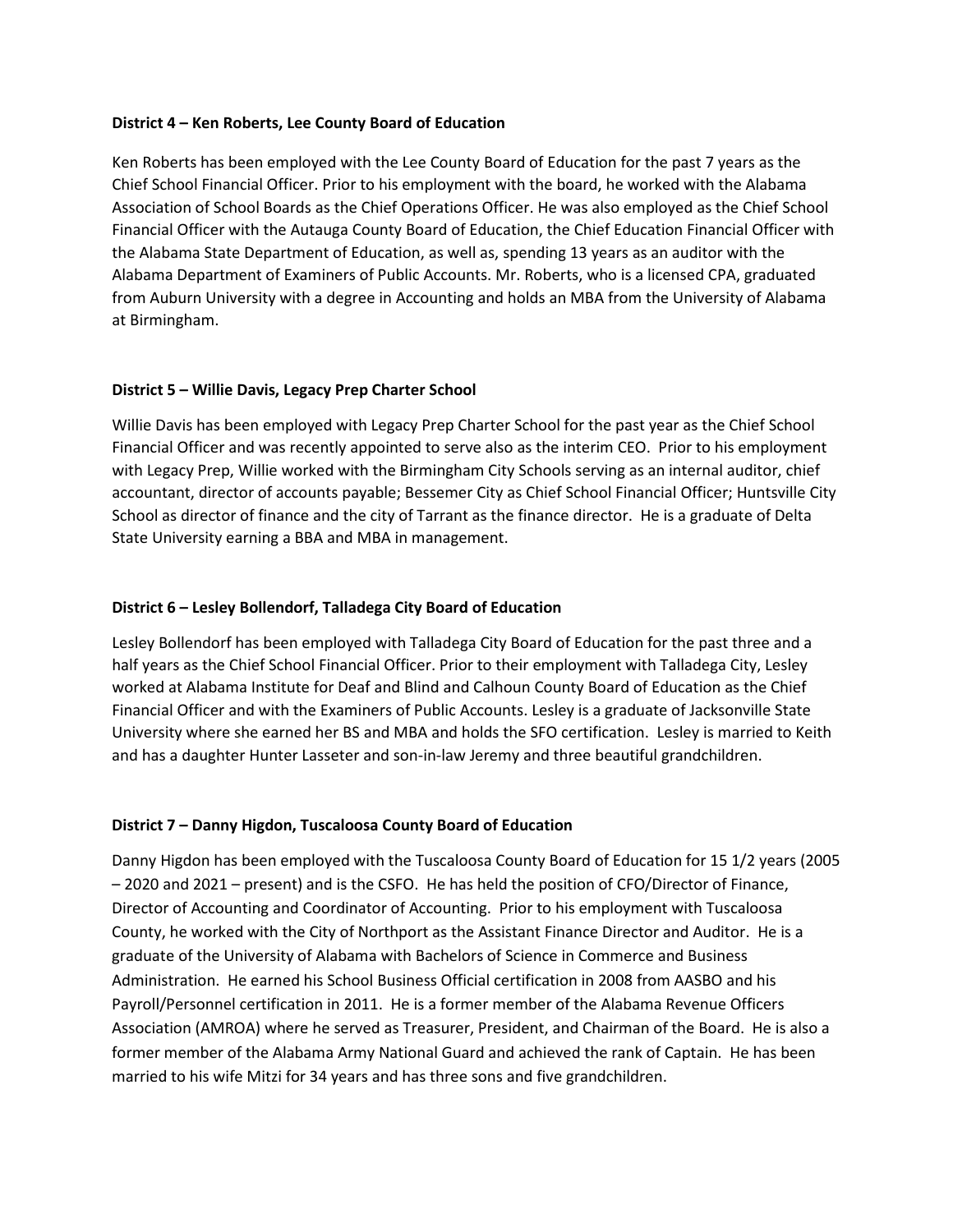## **District 4 – Ken Roberts, Lee County Board of Education**

Ken Roberts has been employed with the Lee County Board of Education for the past 7 years as the Chief School Financial Officer. Prior to his employment with the board, he worked with the Alabama Association of School Boards as the Chief Operations Officer. He was also employed as the Chief School Financial Officer with the Autauga County Board of Education, the Chief Education Financial Officer with the Alabama State Department of Education, as well as, spending 13 years as an auditor with the Alabama Department of Examiners of Public Accounts. Mr. Roberts, who is a licensed CPA, graduated from Auburn University with a degree in Accounting and holds an MBA from the University of Alabama at Birmingham.

## **District 5 – Willie Davis, Legacy Prep Charter School**

Willie Davis has been employed with Legacy Prep Charter School for the past year as the Chief School Financial Officer and was recently appointed to serve also as the interim CEO. Prior to his employment with Legacy Prep, Willie worked with the Birmingham City Schools serving as an internal auditor, chief accountant, director of accounts payable; Bessemer City as Chief School Financial Officer; Huntsville City School as director of finance and the city of Tarrant as the finance director. He is a graduate of Delta State University earning a BBA and MBA in management.

## **District 6 – Lesley Bollendorf, Talladega City Board of Education**

Lesley Bollendorf has been employed with Talladega City Board of Education for the past three and a half years as the Chief School Financial Officer. Prior to their employment with Talladega City, Lesley worked at Alabama Institute for Deaf and Blind and Calhoun County Board of Education as the Chief Financial Officer and with the Examiners of Public Accounts. Lesley is a graduate of Jacksonville State University where she earned her BS and MBA and holds the SFO certification. Lesley is married to Keith and has a daughter Hunter Lasseter and son-in-law Jeremy and three beautiful grandchildren.

## **District 7 – Danny Higdon, Tuscaloosa County Board of Education**

Danny Higdon has been employed with the Tuscaloosa County Board of Education for 15 1/2 years (2005 – 2020 and 2021 – present) and is the CSFO. He has held the position of CFO/Director of Finance, Director of Accounting and Coordinator of Accounting. Prior to his employment with Tuscaloosa County, he worked with the City of Northport as the Assistant Finance Director and Auditor. He is a graduate of the University of Alabama with Bachelors of Science in Commerce and Business Administration. He earned his School Business Official certification in 2008 from AASBO and his Payroll/Personnel certification in 2011. He is a former member of the Alabama Revenue Officers Association (AMROA) where he served as Treasurer, President, and Chairman of the Board. He is also a former member of the Alabama Army National Guard and achieved the rank of Captain. He has been married to his wife Mitzi for 34 years and has three sons and five grandchildren.